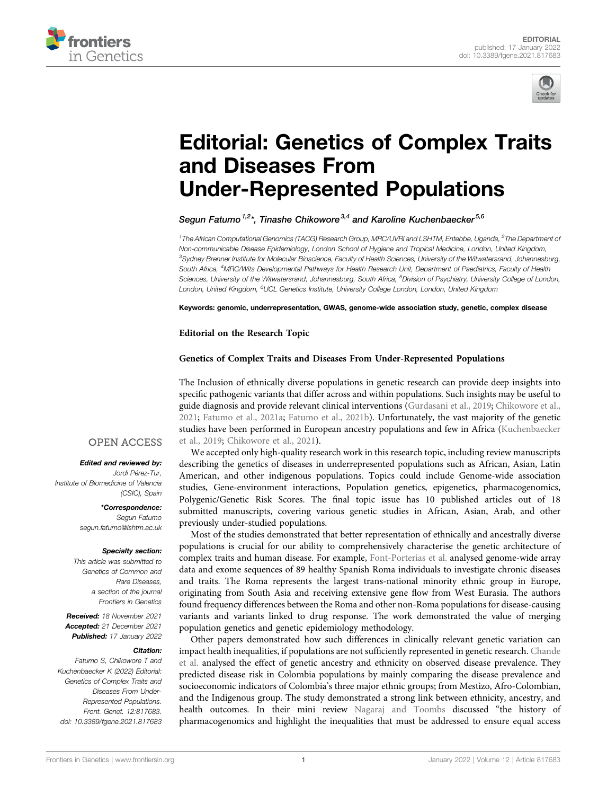



# [Editorial: Genetics of Complex Traits](https://www.frontiersin.org/articles/10.3389/fgene.2021.817683/full) [and Diseases From](https://www.frontiersin.org/articles/10.3389/fgene.2021.817683/full) [Under-Represented Populations](https://www.frontiersin.org/articles/10.3389/fgene.2021.817683/full)

Segun Fatumo<sup>1,2</sup>\*, Tinashe Chikowore<sup>3,4</sup> and Karoline Kuchenbaecker<sup>5,6</sup>

<sup>1</sup> The African Computational Genomics (TACG) Research Group, MRC/UVRI and LSHTM, Entebbe, Uganda, <sup>2</sup>The Department oi Non-communicable Disease Epidemiology, London School of Hygiene and Tropical Medicine, London, United Kingdom, 3 Sydney Brenner Institute for Molecular Bioscience, Faculty of Health Sciences, University of the Witwatersrand, Johannesburg, South Africa, <sup>4</sup>MRC/Wits Developmental Pathways for Health Research Unit, Department of Paediatrics, Faculty of Health Sciences, University of the Witwatersrand, Johannesburg, South Africa, <sup>5</sup>Division of Psychiatry, University College of London, London, United Kingdom, <sup>6</sup>UCL Genetics Institute, University College London, London, United Kingdom

Keywords: genomic, underrepresentation, GWAS, genome-wide association study, genetic, complex disease

Editorial on the Research Topic

### [Genetics of Complex Traits and Diseases From Under-Represented Populations](https://www.frontiersin.org/research-topics/16451)

The Inclusion of ethnically diverse populations in genetic research can provide deep insights into specific pathogenic variants that differ across and within populations. Such insights may be useful to guide diagnosis and provide relevant clinical interventions [\(Gurdasani et al., 2019](#page-2-0); [Chikowore et al.,](#page-2-1) [2021;](#page-2-1) [Fatumo et al., 2021a;](#page-2-2) [Fatumo et al., 2021b](#page-2-3)). Unfortunately, the vast majority of the genetic studies have been performed in European ancestry populations and few in Africa ([Kuchenbaecker](#page-2-4) [et al., 2019;](#page-2-4) [Chikowore et al., 2021](#page-2-1)).

## **OPEN ACCESS**

#### Edited and reviewed by:

Jordi Pérez-Tur, Institute of Biomedicine of Valencia (CSIC), Spain

> \*Correspondence: Segun Fatumo [segun.fatumo@lshtm.ac.uk](mailto:segun.fatumo@lshtm.ac.uk)

#### Specialty section:

This article was submitted to Genetics of Common and Rare Diseases, a section of the journal Frontiers in Genetics

Received: 18 November 2021 Accepted: 21 December 2021 Published: 17 January 2022

#### Citation:

Fatumo S, Chikowore T and Kuchenbaecker K (2022) Editorial: Genetics of Complex Traits and Diseases From Under-Represented Populations. Front. Genet. 12:817683. doi: [10.3389/fgene.2021.817683](https://doi.org/10.3389/fgene.2021.817683)

We accepted only high-quality research work in this research topic, including review manuscripts describing the genetics of diseases in underrepresented populations such as African, Asian, Latin American, and other indigenous populations. Topics could include Genome-wide association studies, Gene-environment interactions, Population genetics, epigenetics, pharmacogenomics, Polygenic/Genetic Risk Scores. The final topic issue has 10 published articles out of 18 submitted manuscripts, covering various genetic studies in African, Asian, Arab, and other previously under-studied populations.

Most of the studies demonstrated that better representation of ethnically and ancestrally diverse populations is crucial for our ability to comprehensively characterise the genetic architecture of complex traits and human disease. For example, [Font-Porterias et al.](https://www.frontiersin.org/articles/10.3389/fgene.2021.683880/full) analysed genome-wide array data and exome sequences of 89 healthy Spanish Roma individuals to investigate chronic diseases and traits. The Roma represents the largest trans-national minority ethnic group in Europe, originating from South Asia and receiving extensive gene flow from West Eurasia. The authors found frequency differences between the Roma and other non-Roma populations for disease-causing variants and variants linked to drug response. The work demonstrated the value of merging population genetics and genetic epidemiology methodology.

Other papers demonstrated how such differences in clinically relevant genetic variation can impact health inequalities, if populations are not sufficiently represented in genetic research. [Chande](https://www.frontiersin.org/articles/10.3389/fgene.2021.690366/full) [et al.](https://www.frontiersin.org/articles/10.3389/fgene.2021.690366/full) analysed the effect of genetic ancestry and ethnicity on observed disease prevalence. They predicted disease risk in Colombia populations by mainly comparing the disease prevalence and socioeconomic indicators of Colombia's three major ethnic groups; from Mestizo, Afro-Colombian, and the Indigenous group. The study demonstrated a strong link between ethnicity, ancestry, and health outcomes. In their mini review [Nagaraj and Toombs](https://www.frontiersin.org/articles/10.3389/fgene.2021.687116/full) discussed "the history of pharmacogenomics and highlight the inequalities that must be addressed to ensure equal access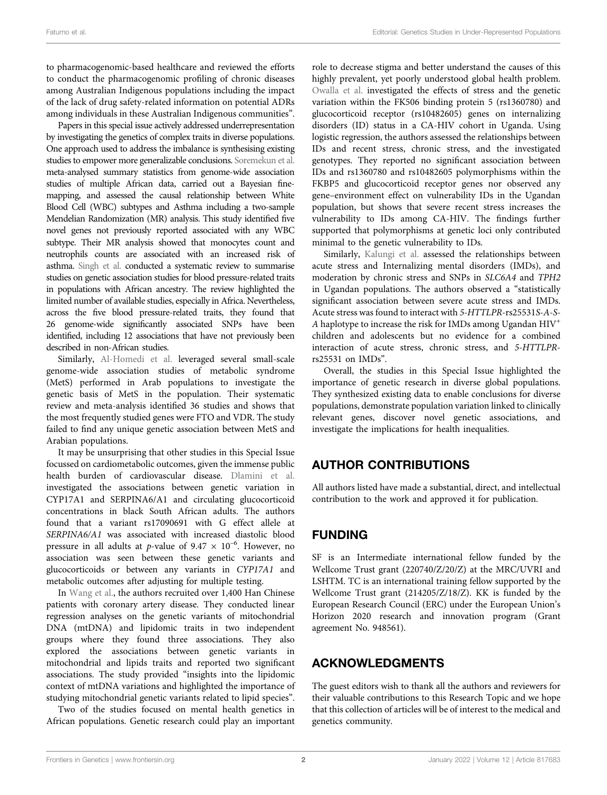to pharmacogenomic-based healthcare and reviewed the efforts to conduct the pharmacogenomic profiling of chronic diseases among Australian Indigenous populations including the impact of the lack of drug safety-related information on potential ADRs among individuals in these Australian Indigenous communities".

Papers in this special issue actively addressed underrepresentation by investigating the genetics of complex traits in diverse populations. One approach used to address the imbalance is synthesising existing studies to empower more generalizable conclusions. [Soremekun et al.](https://www.frontiersin.org/articles/10.3389/fgene.2021.749415/full) meta-analysed summary statistics from genome-wide association studies of multiple African data, carried out a Bayesian finemapping, and assessed the causal relationship between White Blood Cell (WBC) subtypes and Asthma including a two-sample Mendelian Randomization (MR) analysis. This study identified five novel genes not previously reported associated with any WBC subtype. Their MR analysis showed that monocytes count and neutrophils counts are associated with an increased risk of asthma. [Singh et al.](https://www.frontiersin.org/articles/10.3389/fgene.2021.699445/full) conducted a systematic review to summarise studies on genetic association studies for blood pressure-related traits in populations with African ancestry. The review highlighted the limited number of available studies, especially in Africa. Nevertheless, across the five blood pressure-related traits, they found that 26 genome-wide significantly associated SNPs have been identified, including 12 associations that have not previously been described in non-African studies.

Similarly, [Al-Homedi et al.](https://www.frontiersin.org/articles/10.3389/fgene.2021.733746/full) leveraged several small-scale genome-wide association studies of metabolic syndrome (MetS) performed in Arab populations to investigate the genetic basis of MetS in the population. Their systematic review and meta-analysis identified 36 studies and shows that the most frequently studied genes were FTO and VDR. The study failed to find any unique genetic association between MetS and Arabian populations.

It may be unsurprising that other studies in this Special Issue focussed on cardiometabolic outcomes, given the immense public health burden of cardiovascular disease. [Dlamini et al.](https://www.frontiersin.org/articles/10.3389/fgene.2021.687335/full) investigated the associations between genetic variation in CYP17A1 and SERPINA6/A1 and circulating glucocorticoid concentrations in black South African adults. The authors found that a variant rs17090691 with G effect allele at SERPINA6/A1 was associated with increased diastolic blood pressure in all adults at p-value of  $9.47 \times 10^{-6}$ . However, no association was seen between these genetic variants and glucocorticoids or between any variants in CYP17A1 and metabolic outcomes after adjusting for multiple testing.

In [Wang et al.](https://www.frontiersin.org/articles/10.3389/fgene.2021.630359/full), the authors recruited over 1,400 Han Chinese patients with coronary artery disease. They conducted linear regression analyses on the genetic variants of mitochondrial DNA (mtDNA) and lipidomic traits in two independent groups where they found three associations. They also explored the associations between genetic variants in mitochondrial and lipids traits and reported two significant associations. The study provided "insights into the lipidomic context of mtDNA variations and highlighted the importance of studying mitochondrial genetic variants related to lipid species".

Two of the studies focused on mental health genetics in African populations. Genetic research could play an important role to decrease stigma and better understand the causes of this highly prevalent, yet poorly understood global health problem. [Owalla et al.](https://www.frontiersin.org/articles/10.3389/fped.2021.666426/full) investigated the effects of stress and the genetic variation within the FK506 binding protein 5 (rs1360780) and glucocorticoid receptor (rs10482605) genes on internalizing disorders (ID) status in a CA-HIV cohort in Uganda. Using logistic regression, the authors assessed the relationships between IDs and recent stress, chronic stress, and the investigated genotypes. They reported no significant association between IDs and rs1360780 and rs10482605 polymorphisms within the FKBP5 and glucocorticoid receptor genes nor observed any gene–environment effect on vulnerability IDs in the Ugandan population, but shows that severe recent stress increases the vulnerability to IDs among CA-HIV. The findings further supported that polymorphisms at genetic loci only contributed minimal to the genetic vulnerability to IDs.

Similarly, [Kalungi et al.](https://www.frontiersin.org/articles/10.3389/fgene.2021.649055/full) assessed the relationships between acute stress and Internalizing mental disorders (IMDs), and moderation by chronic stress and SNPs in SLC6A4 and TPH2 in Ugandan populations. The authors observed a "statistically significant association between severe acute stress and IMDs. Acute stress was found to interact with 5-HTTLPR-rs25531S-A-S-A haplotype to increase the risk for IMDs among Ugandan  $HIV<sup>+</sup>$ children and adolescents but no evidence for a combined interaction of acute stress, chronic stress, and 5-HTTLPRrs25531 on IMDs".

Overall, the studies in this Special Issue highlighted the importance of genetic research in diverse global populations. They synthesized existing data to enable conclusions for diverse populations, demonstrate population variation linked to clinically relevant genes, discover novel genetic associations, and investigate the implications for health inequalities.

## AUTHOR CONTRIBUTIONS

All authors listed have made a substantial, direct, and intellectual contribution to the work and approved it for publication.

## FUNDING

SF is an Intermediate international fellow funded by the Wellcome Trust grant (220740/Z/20/Z) at the MRC/UVRI and LSHTM. TC is an international training fellow supported by the Wellcome Trust grant (214205/Z/18/Z). KK is funded by the European Research Council (ERC) under the European Union's Horizon 2020 research and innovation program (Grant agreement No. 948561).

## ACKNOWLEDGMENTS

The guest editors wish to thank all the authors and reviewers for their valuable contributions to this Research Topic and we hope that this collection of articles will be of interest to the medical and genetics community.